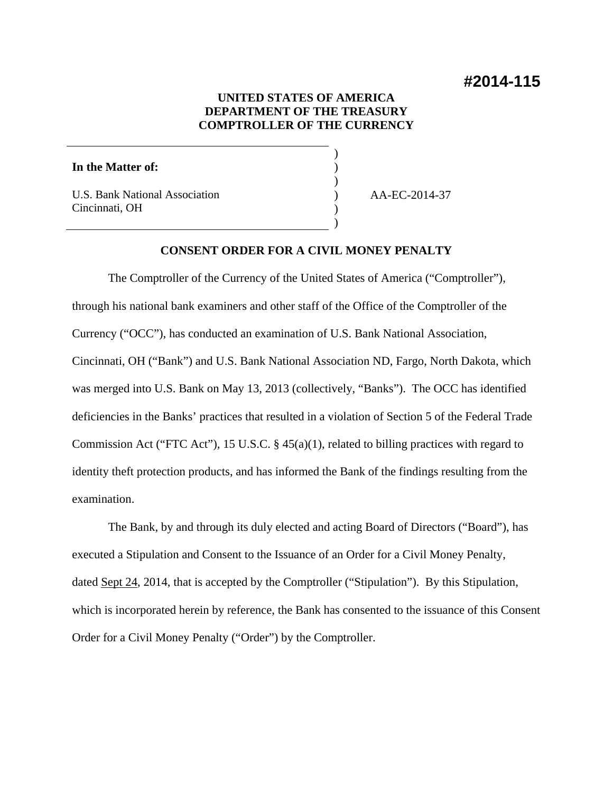# **#2014-115**

# **UNITED STATES OF AMERICA DEPARTMENT OF THE TREASURY COMPTROLLER OF THE CURRENCY**

) ) ) ) ) )

#### **In the Matter of:**

U.S. Bank National Association Cincinnati, OH

AA-EC-2014-37

# **CONSENT ORDER FOR A CIVIL MONEY PENALTY**

The Comptroller of the Currency of the United States of America ("Comptroller"), through his national bank examiners and other staff of the Office of the Comptroller of the Currency ("OCC"), has conducted an examination of U.S. Bank National Association, Cincinnati, OH ("Bank") and U.S. Bank National Association ND, Fargo, North Dakota, which was merged into U.S. Bank on May 13, 2013 (collectively, "Banks"). The OCC has identified deficiencies in the Banks' practices that resulted in a violation of Section 5 of the Federal Trade Commission Act ("FTC Act"), 15 U.S.C. § 45(a)(1), related to billing practices with regard to identity theft protection products, and has informed the Bank of the findings resulting from the examination.

The Bank, by and through its duly elected and acting Board of Directors ("Board"), has executed a Stipulation and Consent to the Issuance of an Order for a Civil Money Penalty, dated <u>Sept 24</u>, 2014, that is accepted by the Comptroller ("Stipulation"). By this Stipulation, which is incorporated herein by reference, the Bank has consented to the issuance of this Consent Order for a Civil Money Penalty ("Order") by the Comptroller.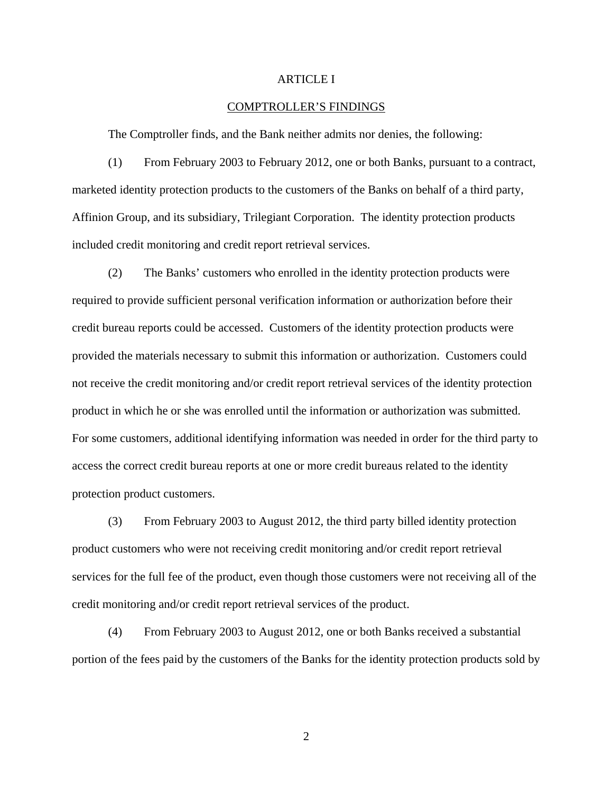#### ARTICLE I

#### COMPTROLLER'S FINDINGS

The Comptroller finds, and the Bank neither admits nor denies, the following:

(1) From February 2003 to February 2012, one or both Banks, pursuant to a contract, marketed identity protection products to the customers of the Banks on behalf of a third party, Affinion Group, and its subsidiary, Trilegiant Corporation. The identity protection products included credit monitoring and credit report retrieval services.

(2) The Banks' customers who enrolled in the identity protection products were required to provide sufficient personal verification information or authorization before their credit bureau reports could be accessed. Customers of the identity protection products were provided the materials necessary to submit this information or authorization. Customers could not receive the credit monitoring and/or credit report retrieval services of the identity protection product in which he or she was enrolled until the information or authorization was submitted. For some customers, additional identifying information was needed in order for the third party to access the correct credit bureau reports at one or more credit bureaus related to the identity protection product customers.

(3) From February 2003 to August 2012, the third party billed identity protection product customers who were not receiving credit monitoring and/or credit report retrieval services for the full fee of the product, even though those customers were not receiving all of the credit monitoring and/or credit report retrieval services of the product.

(4) From February 2003 to August 2012, one or both Banks received a substantial portion of the fees paid by the customers of the Banks for the identity protection products sold by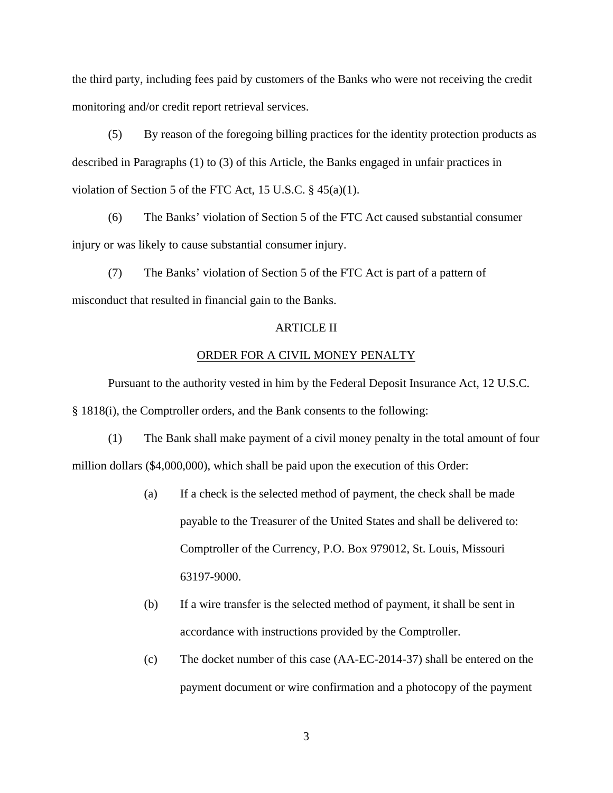the third party, including fees paid by customers of the Banks who were not receiving the credit monitoring and/or credit report retrieval services.

(5) By reason of the foregoing billing practices for the identity protection products as described in Paragraphs (1) to (3) of this Article, the Banks engaged in unfair practices in violation of Section 5 of the FTC Act, 15 U.S.C. § 45(a)(1).

(6) The Banks' violation of Section 5 of the FTC Act caused substantial consumer injury or was likely to cause substantial consumer injury.

(7) The Banks' violation of Section 5 of the FTC Act is part of a pattern of misconduct that resulted in financial gain to the Banks.

## ARTICLE II

#### ORDER FOR A CIVIL MONEY PENALTY

Pursuant to the authority vested in him by the Federal Deposit Insurance Act, 12 U.S.C. § 1818(i), the Comptroller orders, and the Bank consents to the following:

(1) The Bank shall make payment of a civil money penalty in the total amount of four million dollars (\$4,000,000), which shall be paid upon the execution of this Order:

- (a) If a check is the selected method of payment, the check shall be made payable to the Treasurer of the United States and shall be delivered to: Comptroller of the Currency, P.O. Box 979012, St. Louis, Missouri 63197-9000.
- (b) If a wire transfer is the selected method of payment, it shall be sent in accordance with instructions provided by the Comptroller.
- (c) The docket number of this case (AA-EC-2014-37) shall be entered on the payment document or wire confirmation and a photocopy of the payment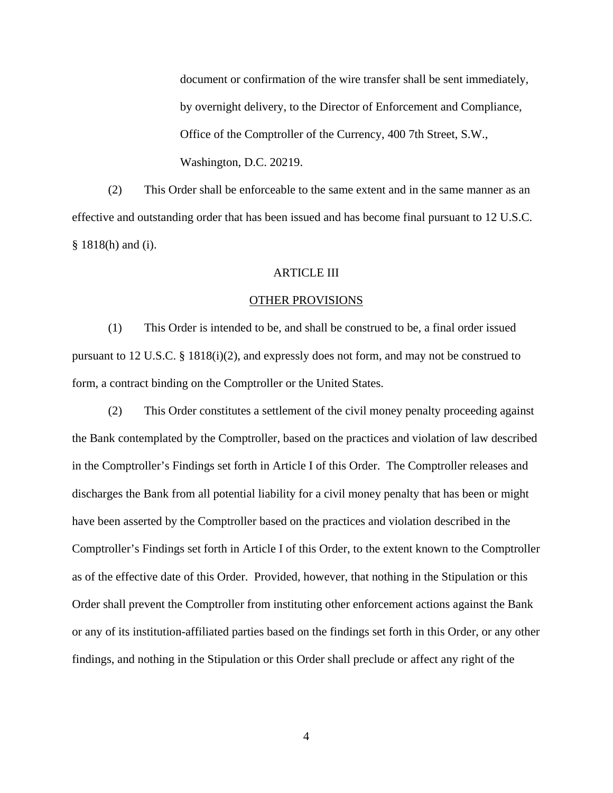document or confirmation of the wire transfer shall be sent immediately, by overnight delivery, to the Director of Enforcement and Compliance, Office of the Comptroller of the Currency, 400 7th Street, S.W., Washington, D.C. 20219.

(2) This Order shall be enforceable to the same extent and in the same manner as an effective and outstanding order that has been issued and has become final pursuant to 12 U.S.C. § 1818(h) and (i).

### ARTICLE III

#### OTHER PROVISIONS

 (1) This Order is intended to be, and shall be construed to be, a final order issued pursuant to 12 U.S.C. § 1818(i)(2), and expressly does not form, and may not be construed to form, a contract binding on the Comptroller or the United States.

 (2) This Order constitutes a settlement of the civil money penalty proceeding against the Bank contemplated by the Comptroller, based on the practices and violation of law described in the Comptroller's Findings set forth in Article I of this Order. The Comptroller releases and discharges the Bank from all potential liability for a civil money penalty that has been or might have been asserted by the Comptroller based on the practices and violation described in the Comptroller's Findings set forth in Article I of this Order, to the extent known to the Comptroller as of the effective date of this Order. Provided, however, that nothing in the Stipulation or this Order shall prevent the Comptroller from instituting other enforcement actions against the Bank or any of its institution-affiliated parties based on the findings set forth in this Order, or any other findings, and nothing in the Stipulation or this Order shall preclude or affect any right of the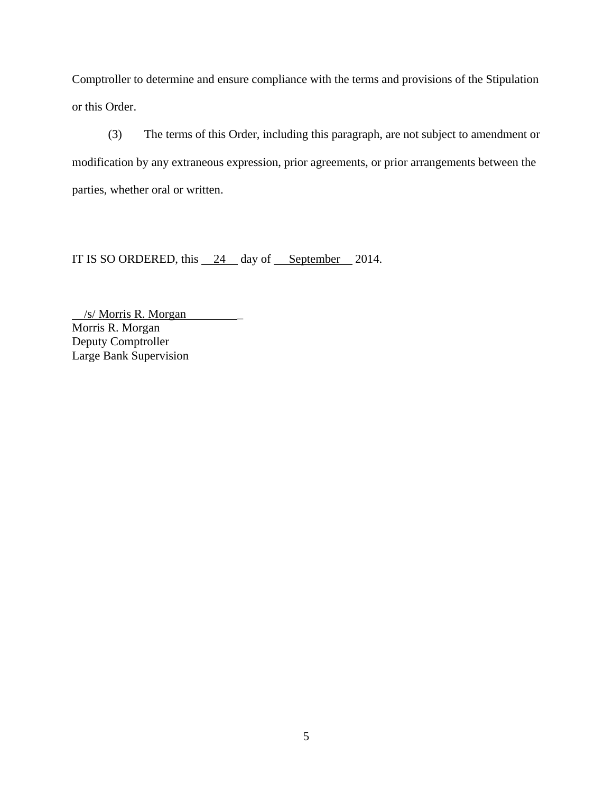Comptroller to determine and ensure compliance with the terms and provisions of the Stipulation or this Order.

(3) The terms of this Order, including this paragraph, are not subject to amendment or modification by any extraneous expression, prior agreements, or prior arrangements between the parties, whether oral or written.

IT IS SO ORDERED, this  $\frac{24}{4}$  day of September 2014.

 /s/ Morris R. Morgan \_ Morris R. Morgan Deputy Comptroller Large Bank Supervision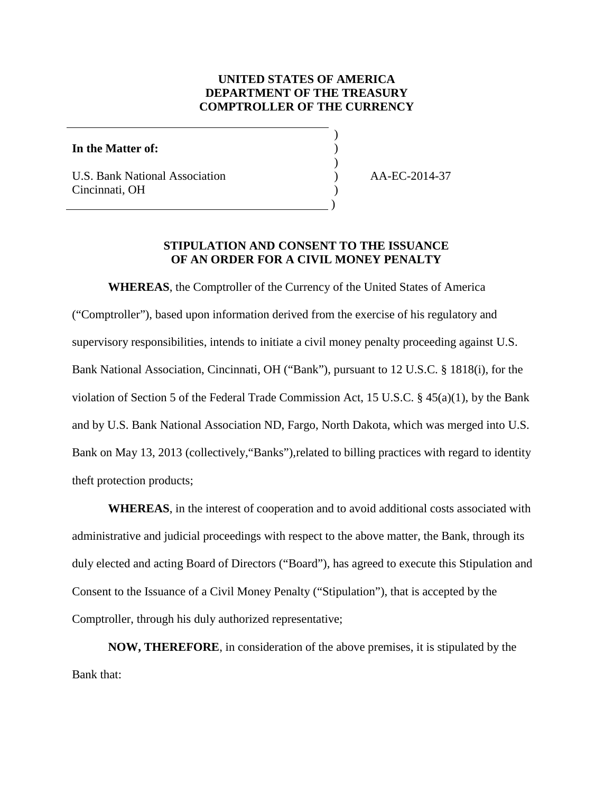# **UNITED STATES OF AMERICA DEPARTMENT OF THE TREASURY COMPTROLLER OF THE CURRENCY**

) ) )

)

### **In the Matter of:**

U.S. Bank National Association Cincinnati, OH

) and the contract of  $\mathcal{L}$  and  $\mathcal{L}$  and  $\mathcal{L}$ 

) AA-EC-2014-37

# **STIPULATION AND CONSENT TO THE ISSUANCE OF AN ORDER FOR A CIVIL MONEY PENALTY**

**WHEREAS**, the Comptroller of the Currency of the United States of America ("Comptroller"), based upon information derived from the exercise of his regulatory and supervisory responsibilities, intends to initiate a civil money penalty proceeding against U.S. Bank National Association, Cincinnati, OH ("Bank"), pursuant to 12 U.S.C. § 1818(i), for the violation of Section 5 of the Federal Trade Commission Act, 15 U.S.C. § 45(a)(1), by the Bank and by U.S. Bank National Association ND, Fargo, North Dakota, which was merged into U.S. Bank on May 13, 2013 (collectively,"Banks"),related to billing practices with regard to identity theft protection products;

**WHEREAS**, in the interest of cooperation and to avoid additional costs associated with administrative and judicial proceedings with respect to the above matter, the Bank, through its duly elected and acting Board of Directors ("Board"), has agreed to execute this Stipulation and Consent to the Issuance of a Civil Money Penalty ("Stipulation"), that is accepted by the Comptroller, through his duly authorized representative;

**NOW, THEREFORE**, in consideration of the above premises, it is stipulated by the Bank that: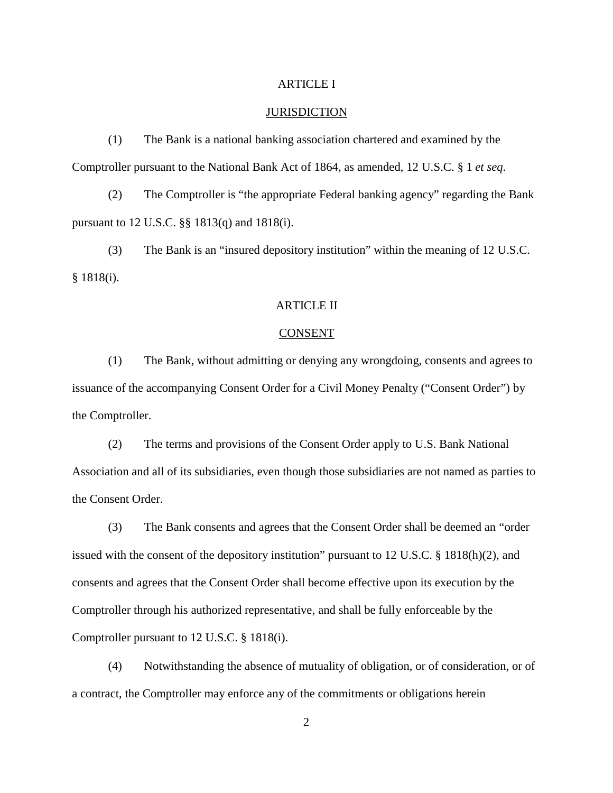## ARTICLE I

#### **JURISDICTION**

(1) The Bank is a national banking association chartered and examined by the Comptroller pursuant to the National Bank Act of 1864, as amended, 12 U.S.C. § 1 *et seq*.

(2) The Comptroller is "the appropriate Federal banking agency" regarding the Bank pursuant to 12 U.S.C. §§ 1813(q) and 1818(i).

(3) The Bank is an "insured depository institution" within the meaning of 12 U.S.C. § 1818(i).

# ARTICLE II

#### CONSENT

(1) The Bank, without admitting or denying any wrongdoing, consents and agrees to issuance of the accompanying Consent Order for a Civil Money Penalty ("Consent Order") by the Comptroller.

(2) The terms and provisions of the Consent Order apply to U.S. Bank National Association and all of its subsidiaries, even though those subsidiaries are not named as parties to the Consent Order.

(3) The Bank consents and agrees that the Consent Order shall be deemed an "order issued with the consent of the depository institution" pursuant to 12 U.S.C. § 1818(h)(2), and consents and agrees that the Consent Order shall become effective upon its execution by the Comptroller through his authorized representative, and shall be fully enforceable by the Comptroller pursuant to 12 U.S.C. § 1818(i).

(4) Notwithstanding the absence of mutuality of obligation, or of consideration, or of a contract, the Comptroller may enforce any of the commitments or obligations herein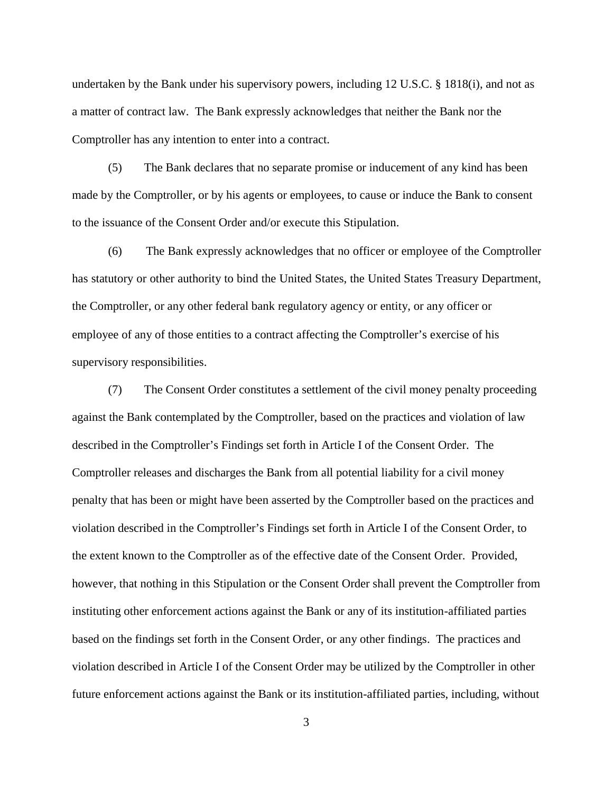undertaken by the Bank under his supervisory powers, including 12 U.S.C. § 1818(i), and not as a matter of contract law. The Bank expressly acknowledges that neither the Bank nor the Comptroller has any intention to enter into a contract.

(5) The Bank declares that no separate promise or inducement of any kind has been made by the Comptroller, or by his agents or employees, to cause or induce the Bank to consent to the issuance of the Consent Order and/or execute this Stipulation.

(6) The Bank expressly acknowledges that no officer or employee of the Comptroller has statutory or other authority to bind the United States, the United States Treasury Department, the Comptroller, or any other federal bank regulatory agency or entity, or any officer or employee of any of those entities to a contract affecting the Comptroller's exercise of his supervisory responsibilities.

(7) The Consent Order constitutes a settlement of the civil money penalty proceeding against the Bank contemplated by the Comptroller, based on the practices and violation of law described in the Comptroller's Findings set forth in Article I of the Consent Order. The Comptroller releases and discharges the Bank from all potential liability for a civil money penalty that has been or might have been asserted by the Comptroller based on the practices and violation described in the Comptroller's Findings set forth in Article I of the Consent Order, to the extent known to the Comptroller as of the effective date of the Consent Order. Provided, however, that nothing in this Stipulation or the Consent Order shall prevent the Comptroller from instituting other enforcement actions against the Bank or any of its institution-affiliated parties based on the findings set forth in the Consent Order, or any other findings. The practices and violation described in Article I of the Consent Order may be utilized by the Comptroller in other future enforcement actions against the Bank or its institution-affiliated parties, including, without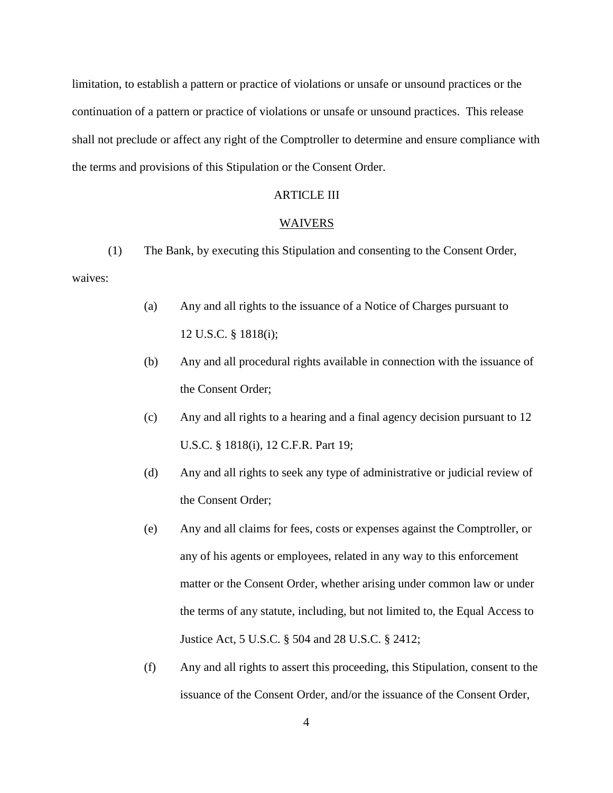limitation, to establish a pattern or practice of violations or unsafe or unsound practices or the continuation of a pattern or practice of violations or unsafe or unsound practices. This release shall not preclude or affect any right of the Comptroller to determine and ensure compliance with the terms and provisions of this Stipulation or the Consent Order.

### ARTICLE III

#### WAIVERS

(1) The Bank, by executing this Stipulation and consenting to the Consent Order, waives:

- (a) Any and all rights to the issuance of a Notice of Charges pursuant to 12 U.S.C. § 1818(i);
- (b) Any and all procedural rights available in connection with the issuance of the Consent Order;
- (c) Any and all rights to a hearing and a final agency decision pursuant to 12 U.S.C. § 1818(i), 12 C.F.R. Part 19;
- (d) Any and all rights to seek any type of administrative or judicial review of the Consent Order;
- (e) Any and all claims for fees, costs or expenses against the Comptroller, or any of his agents or employees, related in any way to this enforcement matter or the Consent Order, whether arising under common law or under the terms of any statute, including, but not limited to, the Equal Access to Justice Act, 5 U.S.C. § 504 and 28 U.S.C. § 2412;
- (f) Any and all rights to assert this proceeding, this Stipulation, consent to the issuance of the Consent Order, and/or the issuance of the Consent Order,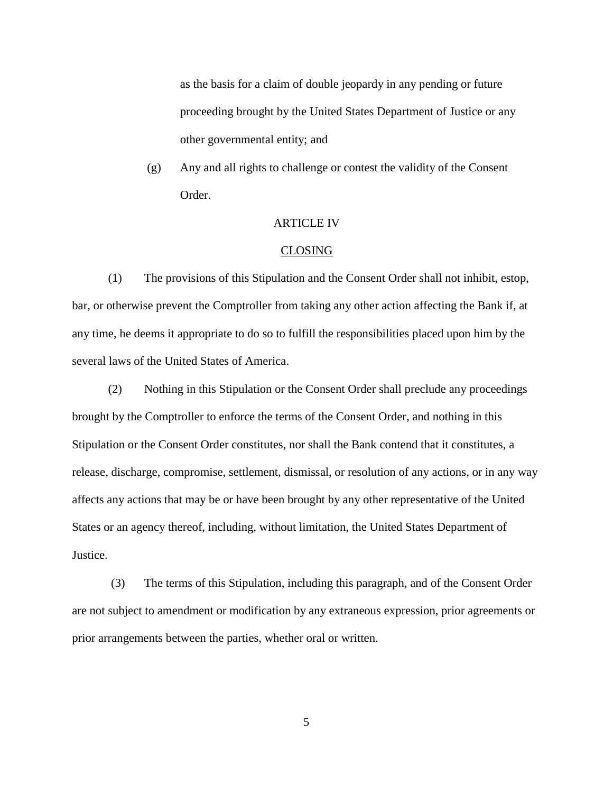as the basis for a claim of double jeopardy in any pending or future proceeding brought by the United States Department of Justice or any other governmental entity; and

(g) Any and all rights to challenge or contest the validity of the Consent Order.

### ARTICLE IV

#### CLOSING

(1) The provisions of this Stipulation and the Consent Order shall not inhibit, estop, bar, or otherwise prevent the Comptroller from taking any other action affecting the Bank if, at any time, he deems it appropriate to do so to fulfill the responsibilities placed upon him by the several laws of the United States of America.

(2) Nothing in this Stipulation or the Consent Order shall preclude any proceedings brought by the Comptroller to enforce the terms of the Consent Order, and nothing in this Stipulation or the Consent Order constitutes, nor shall the Bank contend that it constitutes, a release, discharge, compromise, settlement, dismissal, or resolution of any actions, or in any way affects any actions that may be or have been brought by any other representative of the United States or an agency thereof, including, without limitation, the United States Department of Justice.

(3) The terms of this Stipulation, including this paragraph, and of the Consent Order are not subject to amendment or modification by any extraneous expression, prior agreements or prior arrangements between the parties, whether oral or written.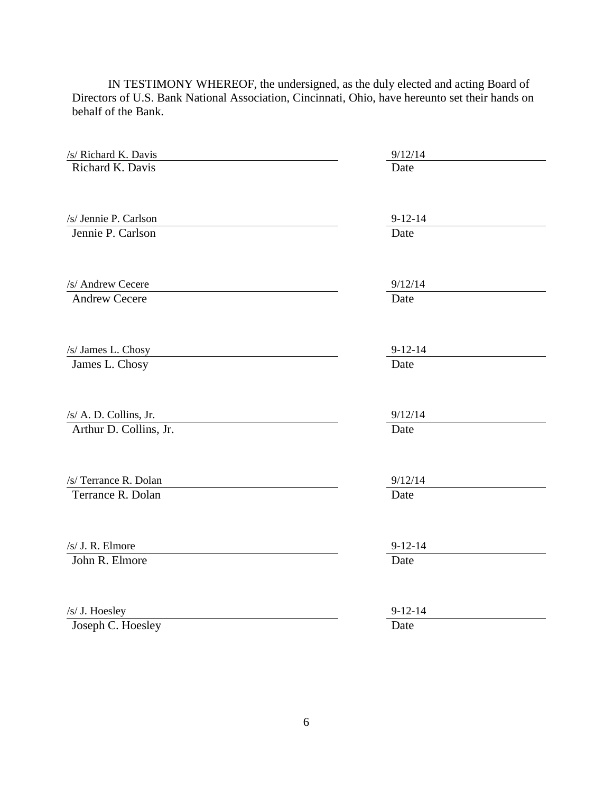IN TESTIMONY WHEREOF, the undersigned, as the duly elected and acting Board of Directors of U.S. Bank National Association, Cincinnati, Ohio, have hereunto set their hands on behalf of the Bank.

| /s/ Richard K. Davis   | 9/12/14       |
|------------------------|---------------|
| Richard K. Davis       | Date          |
| /s/ Jennie P. Carlson  | $9 - 12 - 14$ |
| Jennie P. Carlson      | Date          |
| /s/ Andrew Cecere      | 9/12/14       |
| <b>Andrew Cecere</b>   | Date          |
| /s/ James L. Chosy     | $9 - 12 - 14$ |
| James L. Chosy         | Date          |
| /s/ A. D. Collins, Jr. | 9/12/14       |
| Arthur D. Collins, Jr. | Date          |
| /s/ Terrance R. Dolan  | 9/12/14       |
| Terrance R. Dolan      | Date          |
| /s/ J. R. Elmore       | $9 - 12 - 14$ |
| John R. Elmore         | Date          |
| /s/ J. Hoesley         | $9 - 12 - 14$ |
| Joseph C. Hoesley      | Date          |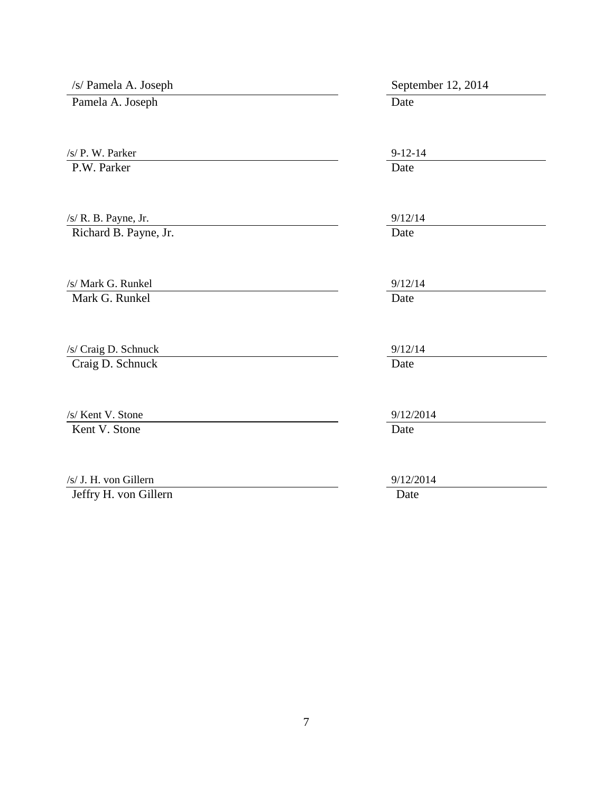| /s/ Pamela A. Joseph                           | September 12, 2014    |
|------------------------------------------------|-----------------------|
| Pamela A. Joseph                               | Date                  |
| /s/ P. W. Parker<br>P.W. Parker                | $9 - 12 - 14$<br>Date |
| /s/ R. B. Payne, Jr.                           | 9/12/14<br>Date       |
| Richard B. Payne, Jr.<br>/s/ Mark G. Runkel    | 9/12/14               |
| Mark G. Runkel                                 | Date                  |
| /s/ Craig D. Schnuck<br>Craig D. Schnuck       | 9/12/14<br>Date       |
| /s/ Kent V. Stone<br>Kent V. Stone             | 9/12/2014<br>Date     |
| /s/ J. H. von Gillern<br>Jeffry H. von Gillern | 9/12/2014<br>Date     |